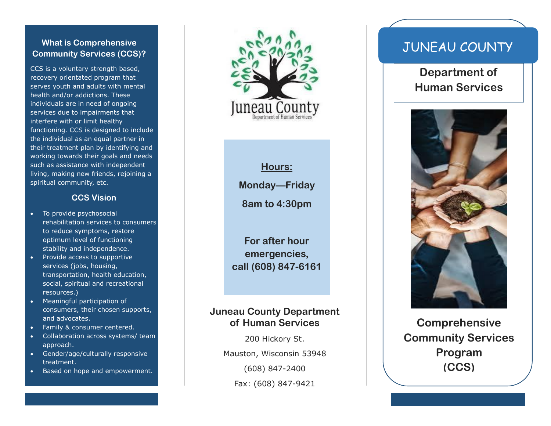#### **What is Comprehensive Community Services (CCS)?**

CCS is a voluntary strength based, recovery orientated program that serves youth and adults with mental health and/or addiction s. These individuals are in need of ongoing services due to impairments that interfere with or limit healthy functioning. CCS is designed to include the individual as an equal partner in their treatment plan by identifying and working towards their goals and needs such as assistance with independent living, making new friends, rejoining a spiritual community, etc.

#### **CCS Vision**

- To provide psychosocial rehabilitation services to consumers to reduce symptoms, restore optimum level of functioning stability and independence.
- Provide access to supportive services (jobs, housing, transportation, health education, social, spiritual and recreational resources.)
- Meaningful participation of consumers, their chosen supports , and advocates.
- Family & consumer centered.
- Collaboration across systems/ team approach.
- Gender/age/culturally responsive treatment .
- Based on hope and empowerment.



**Hours: Monday —Friday**

**8am to 4:30pm**

**For after hour emergencies, call (608) 847 -6161**

#### **Juneau County Department of Human Services**

200 Hickory St. Mauston, Wisconsin 53948 (608) 847 -2400 Fax: (608) 847 -9421

# JUNEAU COUNTY

**Department of Human Services**



**Comprehensive Community Services Program (CCS)**